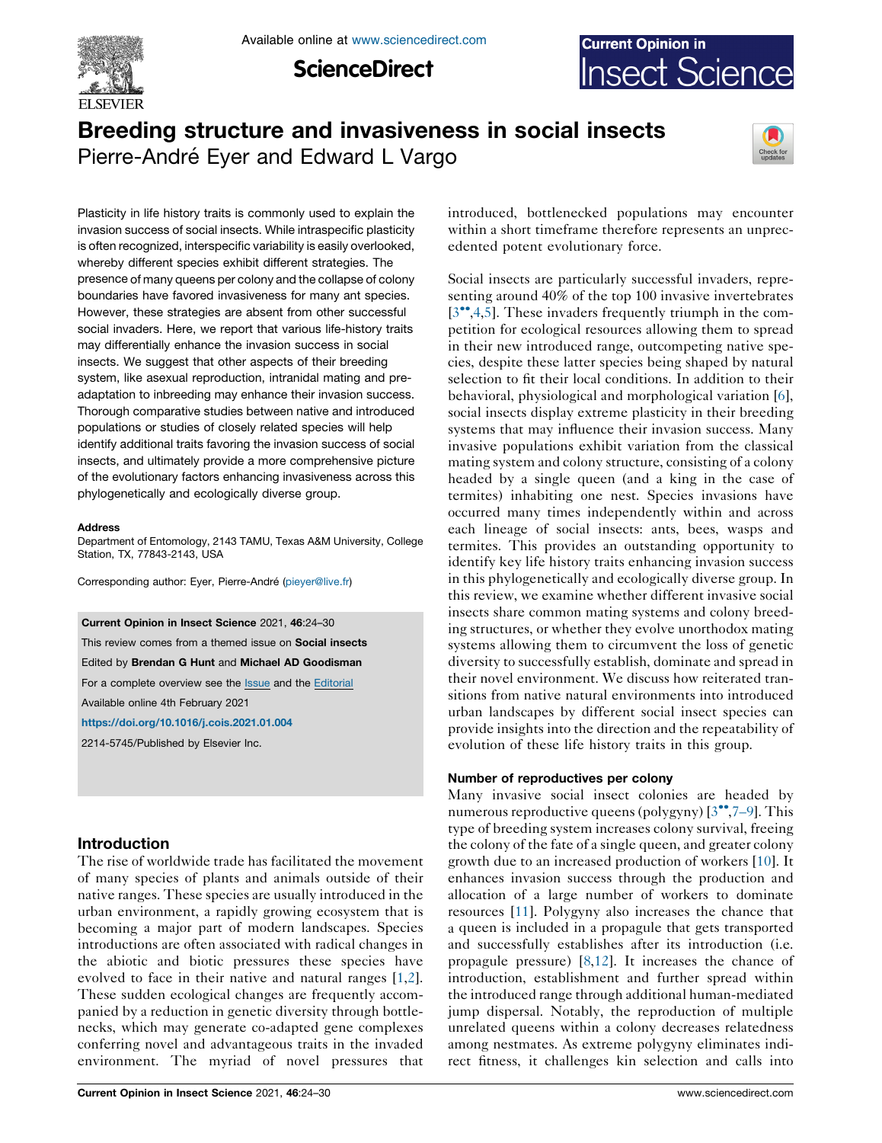

Available online at [www.sciencedirect.com](http://www.sciencedirect.com/science/journal/aip/22145745)

**ScienceDirect** 



# Breeding structure and invasiveness in social insects Pierre-André Eyer and Edward L Vargo



Plasticity in life history traits is commonly used to explain the invasion success of social insects. While intraspecific plasticity is often recognized, interspecific variability is easily overlooked, whereby different species exhibit different strategies. The presence of many queens per colony and the collapse of colony boundaries have favored invasiveness for many ant species. However, these strategies are absent from other successful social invaders. Here, we report that various life-history traits may differentially enhance the invasion success in social insects. We suggest that other aspects of their breeding system, like asexual reproduction, intranidal mating and preadaptation to inbreeding may enhance their invasion success. Thorough comparative studies between native and introduced populations or studies of closely related species will help identify additional traits favoring the invasion success of social insects, and ultimately provide a more comprehensive picture of the evolutionary factors enhancing invasiveness across this phylogenetically and ecologically diverse group.

#### Address

Department of Entomology, 2143 TAMU, Texas A&M University, College Station, TX, 77843-2143, USA

Corresponding author: Eyer, Pierre-André [\(pieyer@live.fr\)](mailto:pieyer@live.fr)

Current Opinion in Insect Science 2021, 46:24–30

This review comes from a themed issue on **Social insects** Edited by Brendan G Hunt and Michael AD Goodisman For a complete overview see the [Issue](http://www.sciencedirect.com/science/journal/22145745/46) and the [Editorial](https://doi.org/10.1016/j.cois.2021.08.003) Available online 4th February 2021

<https://doi.org/10.1016/j.cois.2021.01.004>

2214-5745/Published by Elsevier Inc.

# Introduction

The rise of worldwide trade has facilitated the movement of many species of plants and animals outside of their native ranges. These species are usually introduced in the urban environment, a rapidly growing ecosystem that is becoming a major part of modern landscapes. Species introductions are often associated with radical changes in the abiotic and biotic pressures these species have evolved to face in their native and natural ranges [[1,2](#page-4-0)]. These sudden ecological changes are frequently accompanied by a reduction in genetic diversity through bottlenecks, which may generate co-adapted gene complexes conferring novel and advantageous traits in the invaded environment. The myriad of novel pressures that

introduced, bottlenecked populations may encounter within a short timeframe therefore represents an unprecedented potent evolutionary force.

Social insects are particularly successful invaders, representing around 40% of the top 100 invasive invertebrates  $[3\degree, 4, 5]$ . These invaders frequently triumph in the competition for ecological resources allowing them to spread in their new introduced range, outcompeting native species, despite these latter species being shaped by natural selection to fit their local conditions. In addition to their behavioral, physiological and morphological variation [[6](#page-4-0)], social insects display extreme plasticity in their breeding systems that may influence their invasion success. Many invasive populations exhibit variation from the classical mating system and colony structure, consisting of a colony headed by a single queen (and a king in the case of termites) inhabiting one nest. Species invasions have occurred many times independently within and across each lineage of social insects: ants, bees, wasps and termites. This provides an outstanding opportunity to identify key life history traits enhancing invasion success in this phylogenetically and ecologically diverse group. In this review, we examine whether different invasive social insects share common mating systems and colony breeding structures, or whether they evolve unorthodox mating systems allowing them to circumvent the loss of genetic diversity to successfully establish, dominate and spread in their novel environment. We discuss how reiterated transitions from native natural environments into introduced urban landscapes by different social insect species can provide insights into the direction and the repeatability of evolution of these life history traits in this group.

# Number of reproductives per colony

Many invasive social insect colonies are headed by numerous reproductive queens (polygyny)  $[3\degree,7-9]$ . This type of breeding system increases colony survival, freeing the colony of the fate of a single queen, and greater colony growth due to an increased production of workers [[10\]](#page-4-0). It enhances invasion success through the production and allocation of a large number of workers to dominate resources [[11\]](#page-4-0). Polygyny also increases the chance that a queen is included in a propagule that gets transported and successfully establishes after its introduction (i.e. propagule pressure) [\[8](#page-4-0),[12\]](#page-4-0). It increases the chance of introduction, establishment and further spread within the introduced range through additional human-mediated jump dispersal. Notably, the reproduction of multiple unrelated queens within a colony decreases relatedness among nestmates. As extreme polygyny eliminates indirect fitness, it challenges kin selection and calls into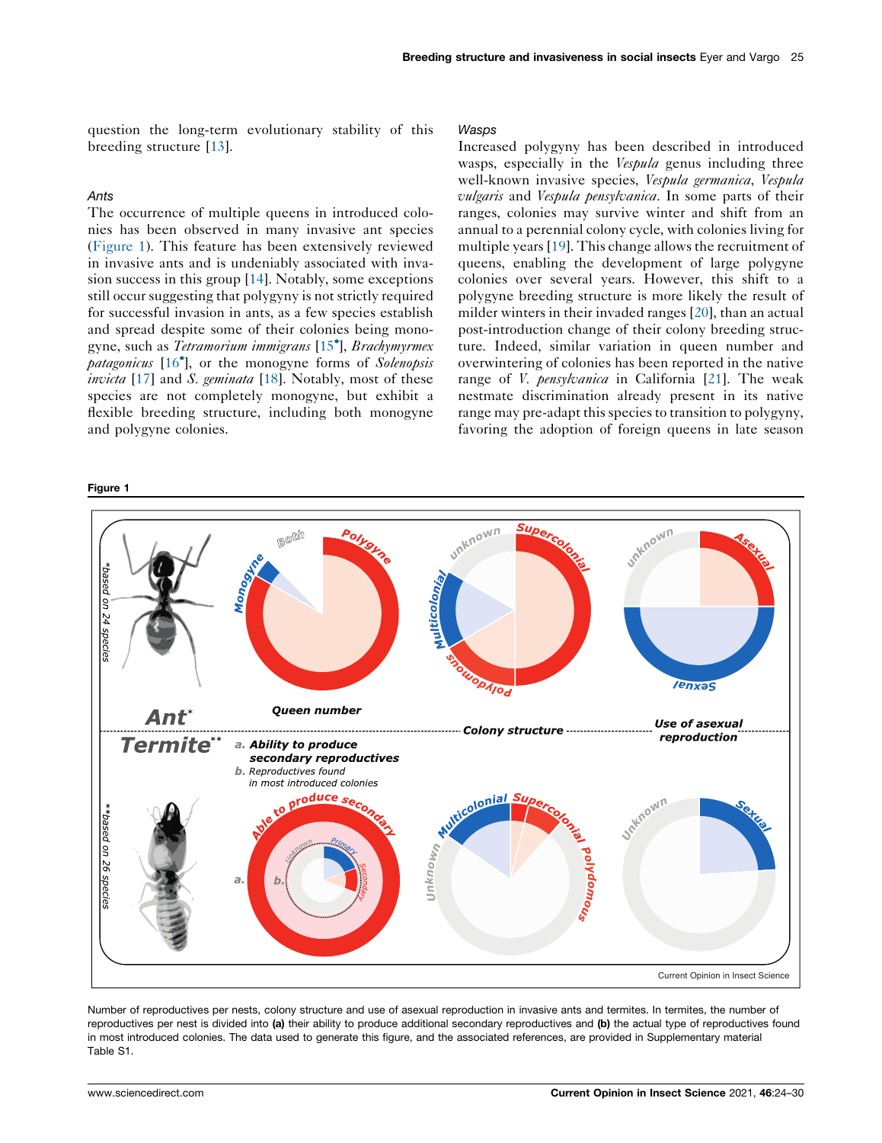<span id="page-1-0"></span>question the long-term evolutionary stability of this breeding structure [\[13](#page-4-0)].

# Ants

The occurrence of multiple queens in introduced colonies has been observed in many invasive ant species (Figure 1). This feature has been extensively reviewed in invasive ants and is undeniably associated with invasion success in this group [\[14](#page-4-0)]. Notably, some exceptions still occur suggesting that polygyny is not strictly required for successful invasion in ants, as a few species establish and spread despite some of their colonies being mono-gyne, such as Tetramorium immigrans [\[15](#page-4-0)°], Brachymyrmex patagonicus [[16](#page-4-0)<sup>°</sup>], or the monogyne forms of Solenopsis invicta [\[17](#page-4-0)] and S. geminata [\[18](#page-4-0)]. Notably, most of these species are not completely monogyne, but exhibit a flexible breeding structure, including both monogyne and polygyne colonies.

#### Figure 1

#### **Wasps**

Increased polygyny has been described in introduced wasps, especially in the *Vespula* genus including three well-known invasive species, Vespula germanica, Vespula vulgaris and Vespula pensylvanica. In some parts of their ranges, colonies may survive winter and shift from an annual to a perennial colony cycle, with colonies living for multiple years [\[19](#page-4-0)]. This change allows the recruitment of queens, enabling the development of large polygyne colonies over several years. However, this shift to a polygyne breeding structure is more likely the result of milder winters in their invaded ranges [\[20](#page-4-0)], than an actual post-introduction change of their colony breeding structure. Indeed, similar variation in queen number and overwintering of colonies has been reported in the native range of *V. pensylvanica* in California [[21\]](#page-4-0). The weak nestmate discrimination already present in its native range may pre-adapt this species to transition to polygyny, favoring the adoption of foreign queens in late season



Number of reproductives per nests, colony structure and use of asexual reproduction in invasive ants and termites. In termites, the number of reproductives per nest is divided into (a) their ability to produce additional secondary reproductives and (b) the actual type of reproductives found in most introduced colonies. The data used to generate this figure, and the associated references, are provided in Supplementary material Table S1.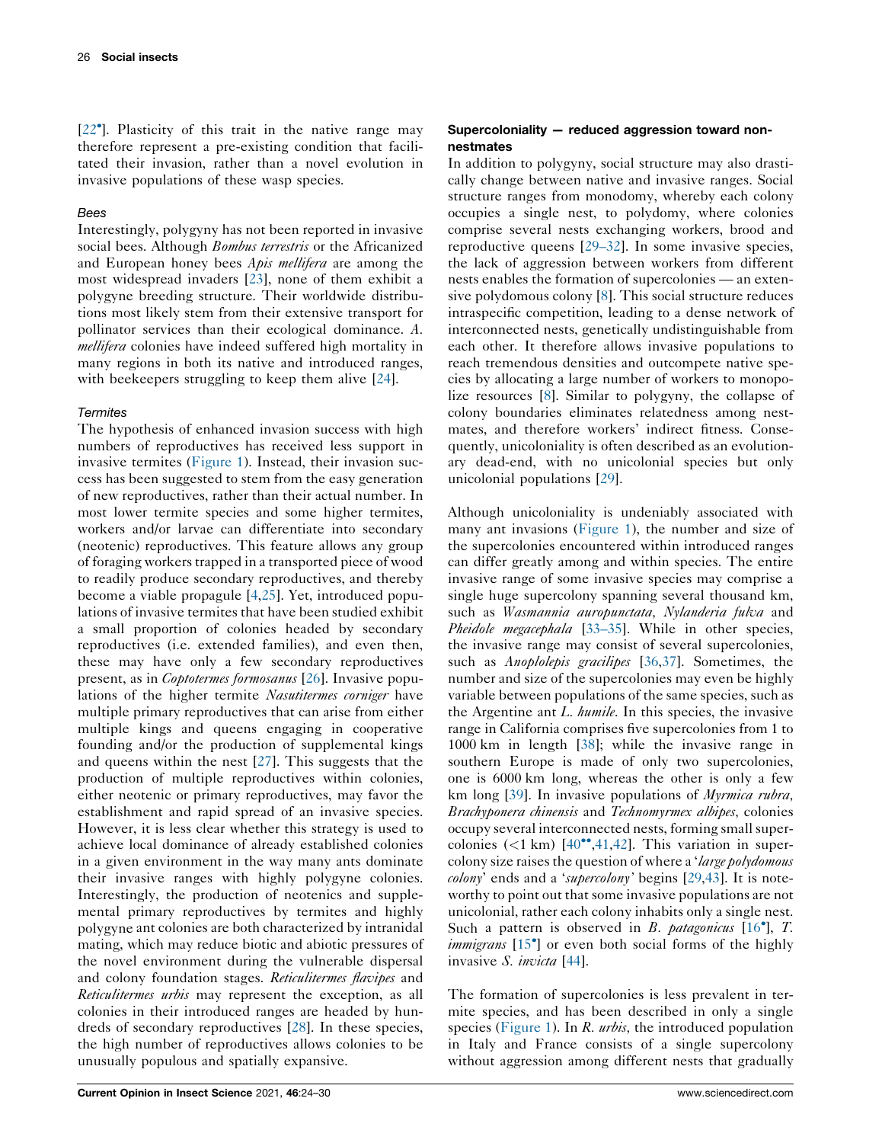[\[22](#page-4-0) ]. Plasticity of this trait in the native range may therefore represent a pre-existing condition that facilitated their invasion, rather than a novel evolution in invasive populations of these wasp species.

# **Bees**

Interestingly, polygyny has not been reported in invasive social bees. Although *Bombus terrestris* or the Africanized and European honey bees Apis mellifera are among the most widespread invaders [[23\]](#page-4-0), none of them exhibit a polygyne breeding structure. Their worldwide distributions most likely stem from their extensive transport for pollinator services than their ecological dominance. A. mellifera colonies have indeed suffered high mortality in many regions in both its native and introduced ranges, with beekeepers struggling to keep them alive [[24\]](#page-4-0).

#### **Termites**

The hypothesis of enhanced invasion success with high numbers of reproductives has received less support in invasive termites ([Figure](#page-1-0) 1). Instead, their invasion success has been suggested to stem from the easy generation of new reproductives, rather than their actual number. In most lower termite species and some higher termites, workers and/or larvae can differentiate into secondary (neotenic) reproductives. This feature allows any group of foraging workers trapped in a transported piece of wood to readily produce secondary reproductives, and thereby become a viable propagule [\[4](#page-4-0),[25\]](#page-4-0). Yet, introduced populations of invasive termites that have been studied exhibit a small proportion of colonies headed by secondary reproductives (i.e. extended families), and even then, these may have only a few secondary reproductives present, as in Coptotermes formosanus [[26\]](#page-4-0). Invasive populations of the higher termite Nasutitermes corniger have multiple primary reproductives that can arise from either multiple kings and queens engaging in cooperative founding and/or the production of supplemental kings and queens within the nest [[27\]](#page-4-0). This suggests that the production of multiple reproductives within colonies, either neotenic or primary reproductives, may favor the establishment and rapid spread of an invasive species. However, it is less clear whether this strategy is used to achieve local dominance of already established colonies in a given environment in the way many ants dominate their invasive ranges with highly polygyne colonies. Interestingly, the production of neotenics and supplemental primary reproductives by termites and highly polygyne ant colonies are both characterized by intranidal mating, which may reduce biotic and abiotic pressures of the novel environment during the vulnerable dispersal and colony foundation stages. Reticulitermes flavipes and Reticulitermes urbis may represent the exception, as all colonies in their introduced ranges are headed by hundreds of secondary reproductives [[28\]](#page-5-0). In these species, the high number of reproductives allows colonies to be unusually populous and spatially expansive.

# Supercoloniality — reduced aggression toward nonnestmates

In addition to polygyny, social structure may also drastically change between native and invasive ranges. Social structure ranges from monodomy, whereby each colony occupies a single nest, to polydomy, where colonies comprise several nests exchanging workers, brood and reproductive queens [\[29–32](#page-5-0)]. In some invasive species, the lack of aggression between workers from different nests enables the formation of supercolonies — an extensive polydomous colony [\[8](#page-4-0)]. This social structure reduces intraspecific competition, leading to a dense network of interconnected nests, genetically undistinguishable from each other. It therefore allows invasive populations to reach tremendous densities and outcompete native species by allocating a large number of workers to monopolize resources [[8\]](#page-4-0). Similar to polygyny, the collapse of colony boundaries eliminates relatedness among nestmates, and therefore workers' indirect fitness. Consequently, unicoloniality is often described as an evolutionary dead-end, with no unicolonial species but only unicolonial populations [\[29](#page-5-0)].

Although unicoloniality is undeniably associated with many ant invasions ([Figure](#page-1-0) 1), the number and size of the supercolonies encountered within introduced ranges can differ greatly among and within species. The entire invasive range of some invasive species may comprise a single huge supercolony spanning several thousand km, such as *Wasmannia auropunctata*, *Nylanderia fulva* and Pheidole megacephala [\[33–35](#page-5-0)]. While in other species, the invasive range may consist of several supercolonies, such as *Anoplolepis gracilipes* [[36,37\]](#page-5-0). Sometimes, the number and size of the supercolonies may even be highly variable between populations of the same species, such as the Argentine ant  $L$ . *humile*. In this species, the invasive range in California comprises five supercolonies from 1 to 1000 km in length [\[38](#page-5-0)]; while the invasive range in southern Europe is made of only two supercolonies, one is 6000 km long, whereas the other is only a few km long [[39\]](#page-5-0). In invasive populations of *Myrmica rubra*, Brachyponera chinensis and Technomyrmex albipes, colonies occupy several interconnected nests, forming smallsupercolonies  $(< 1 \text{ km})$  [[40](#page-5-0)<sup> $\bullet$ </sup>,[41](#page-5-0),[42\]](#page-5-0). This variation in supercolony size raises the question of where a 'large polydomous' colony' ends and a 'supercolony' begins [[29,43](#page-5-0)]. It is noteworthy to point out that some invasive populations are not unicolonial, rather each colony inhabits only a single nest. Such a pattern is observed in  $B$ . patagonicus  $[16^{\circ}], T$  $[16^{\circ}], T$  $[16^{\circ}], T$ . *immigrans* [\[15](#page-4-0)<sup>°</sup>] or even both social forms of the highly invasive S. *invicta* [[44\]](#page-5-0).

The formation of supercolonies is less prevalent in termite species, and has been described in only a single species ([Figure](#page-1-0) 1). In R. *urbis*, the introduced population in Italy and France consists of a single supercolony without aggression among different nests that gradually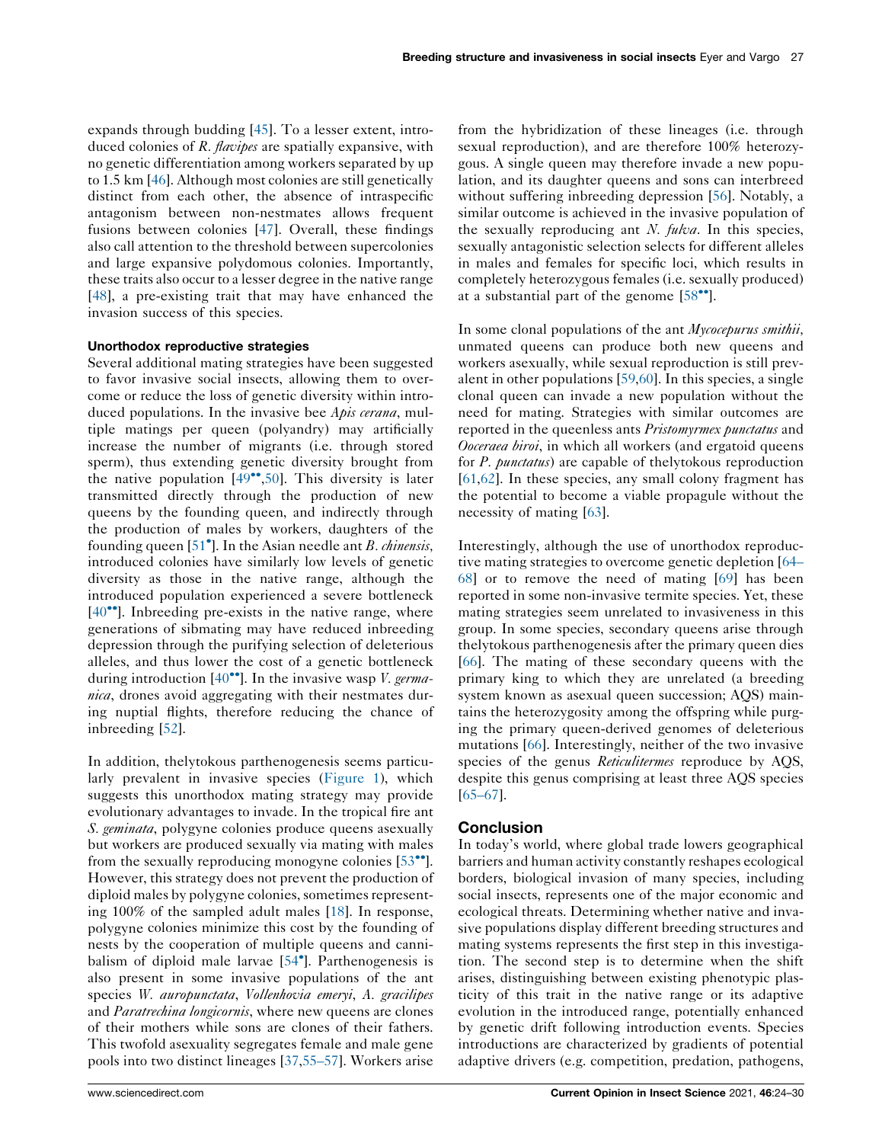expands through budding [[45\]](#page-5-0). To a lesser extent, introduced colonies of R. *flavipes* are spatially expansive, with no genetic differentiation among workers separated by up to 1.5 km [\[46](#page-5-0)]. Although most colonies are still genetically distinct from each other, the absence of intraspecific antagonism between non-nestmates allows frequent fusions between colonies [\[47](#page-5-0)]. Overall, these findings also call attention to the threshold between supercolonies and large expansive polydomous colonies. Importantly, these traits also occur to a lesser degree in the native range [\[48](#page-5-0)], a pre-existing trait that may have enhanced the invasion success of this species.

#### Unorthodox reproductive strategies

Several additional mating strategies have been suggested to favor invasive social insects, allowing them to overcome or reduce the loss of genetic diversity within introduced populations. In the invasive bee Apis cerana, multiple matings per queen (polyandry) may artificially increase the number of migrants (i.e. through stored sperm), thus extending genetic diversity brought from the native population  $[49\degree, 50]$  $[49\degree, 50]$ . This diversity is later transmitted directly through the production of new queens by the founding queen, and indirectly through the production of males by workers, daughters of the founding queen [\[51](#page-5-0)<sup>°</sup>]. In the Asian needle ant *B. chinensis*, introduced colonies have similarly low levels of genetic diversity as those in the native range, although the introduced population experienced a severe bottleneck  $[40\degree]$  $[40\degree]$ . Inbreeding pre-exists in the native range, where generations of sibmating may have reduced inbreeding depression through the purifying selection of deleterious alleles, and thus lower the cost of a genetic bottleneck during introduction  $[40^{\bullet\bullet}]$  $[40^{\bullet\bullet}]$ . In the invasive wasp *V. germa*nica, drones avoid aggregating with their nestmates during nuptial flights, therefore reducing the chance of inbreeding [[52\]](#page-5-0).

In addition, thelytokous parthenogenesis seems particularly prevalent in invasive species ([Figure](#page-1-0) 1), which suggests this unorthodox mating strategy may provide evolutionary advantages to invade. In the tropical fire ant S. *geminata*, polygyne colonies produce queens asexually but workers are produced sexually via mating with males from the sexually reproducing monogyne colonies  $[53\text{°}$  $[53\text{°}$ . However, this strategy does not prevent the production of diploid males by polygyne colonies, sometimes representing 100% of the sampled adult males [\[18](#page-4-0)]. In response, polygyne colonies minimize this cost by the founding of nests by the cooperation of multiple queens and cannibalism of diploid male larvae [[54](#page-5-0) ]. Parthenogenesis is also present in some invasive populations of the ant species W. auropunctata, Vollenhovia emeryi, A. gracilipes and Paratrechina longicornis, where new queens are clones of their mothers while sons are clones of their fathers. This twofold asexuality segregates female and male gene pools into two distinct lineages [[37,55–57](#page-5-0)]. Workers arise

from the hybridization of these lineages (i.e. through sexual reproduction), and are therefore 100% heterozygous. A single queen may therefore invade a new population, and its daughter queens and sons can interbreed without suffering inbreeding depression [\[56](#page-5-0)]. Notably, a similar outcome is achieved in the invasive population of the sexually reproducing ant N.  $fukva$ . In this species, sexually antagonistic selection selects for different alleles in males and females for specific loci, which results in completely heterozygous females (i.e. sexually produced) at a substantial part of the genome  $[58$ <sup>\*\*</sup>].

In some clonal populations of the ant *Mycocepurus smithii*, unmated queens can produce both new queens and workers asexually, while sexual reproduction is still prevalent in other populations [\[59](#page-5-0),[60\]](#page-6-0). In this species, a single clonal queen can invade a new population without the need for mating. Strategies with similar outcomes are reported in the queenless ants *Pristomyrmex punctatus* and Ooceraea biroi, in which all workers (and ergatoid queens for *P. punctatus*) are capable of thelytokous reproduction [[61](#page-6-0),[62\]](#page-6-0). In these species, any small colony fragment has the potential to become a viable propagule without the necessity of mating [[63\]](#page-6-0).

Interestingly, although the use of unorthodox reproductive mating strategies to overcome genetic depletion [\[64–](#page-6-0) [68](#page-6-0)] or to remove the need of mating [\[69](#page-6-0)] has been reported in some non-invasive termite species. Yet, these mating strategies seem unrelated to invasiveness in this group. In some species, secondary queens arise through thelytokous parthenogenesis after the primary queen dies [[66](#page-6-0)]. The mating of these secondary queens with the primary king to which they are unrelated (a breeding system known as asexual queen succession; AQS) maintains the heterozygosity among the offspring while purging the primary queen-derived genomes of deleterious mutations [\[66](#page-6-0)]. Interestingly, neither of the two invasive species of the genus Reticulitermes reproduce by AQS, despite this genus comprising at least three AQS species [[65–67](#page-6-0)].

#### **Conclusion**

In today's world, where global trade lowers geographical barriers and human activity constantly reshapes ecological borders, biological invasion of many species, including social insects, represents one of the major economic and ecological threats. Determining whether native and invasive populations display different breeding structures and mating systems represents the first step in this investigation. The second step is to determine when the shift arises, distinguishing between existing phenotypic plasticity of this trait in the native range or its adaptive evolution in the introduced range, potentially enhanced by genetic drift following introduction events. Species introductions are characterized by gradients of potential adaptive drivers (e.g. competition, predation, pathogens,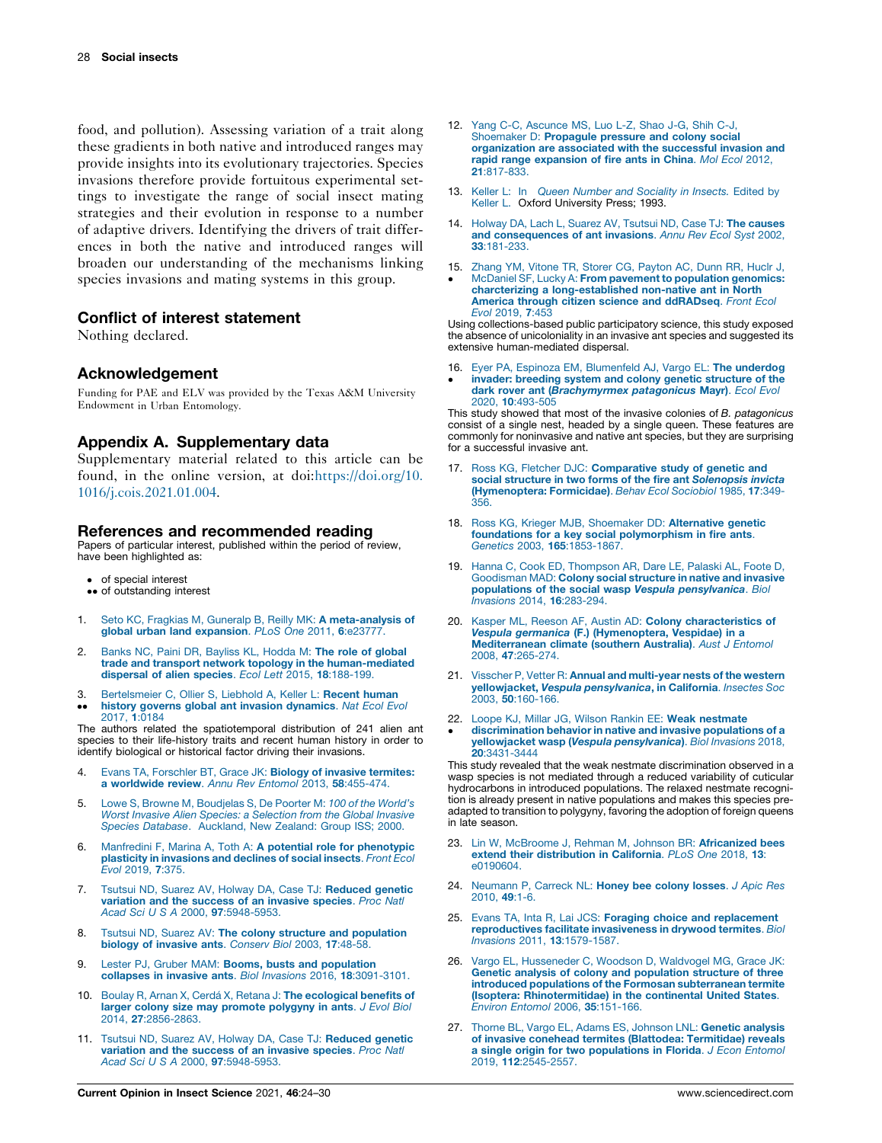<span id="page-4-0"></span>food, and pollution). Assessing variation of a trait along these gradients in both native and introduced ranges may provide insights into its evolutionary trajectories. Species invasions therefore provide fortuitous experimental settings to investigate the range of social insect mating strategies and their evolution in response to a number of adaptive drivers. Identifying the drivers of trait differences in both the native and introduced ranges will broaden our understanding of the mechanisms linking species invasions and mating systems in this group.

# Conflict of interest statement

Nothing declared.

# Acknowledgement

Funding for PAE and ELV was provided by the Texas A&M University Endowment in Urban Entomology.

# Appendix A. Supplementary data

Supplementary material related to this article can be found, in the online version, at doi:[https://doi.org/10.](https://doi.org/10.1016/j.cois.2021.01.004) [1016/j.cois.2021.01.004](https://doi.org/10.1016/j.cois.2021.01.004).

#### References and recommended reading

Papers of particular interest, published within the period of review, have been highlighted as:

- of special interest
- •• of outstanding interest
- 1. Seto KC, Fragkias M, Guneralp B, Reilly MK: A [meta-analysis](http://refhub.elsevier.com/S2214-5745(21)00005-5/sbref0005) of global urban land [expansion](http://refhub.elsevier.com/S2214-5745(21)00005-5/sbref0005). PLoS One 2011, 6:e23777.
- Banks NC, Paini DR, [Bayliss](http://refhub.elsevier.com/S2214-5745(21)00005-5/sbref0010) KL, Hodda M: The role of global trade and transport network topology in the [human-mediated](http://refhub.elsevier.com/S2214-5745(21)00005-5/sbref0010) [dispersal](http://refhub.elsevier.com/S2214-5745(21)00005-5/sbref0010) of alien species. Ecol Lett 2015, 18:188-199.
- 3. [Bertelsmeier](http://refhub.elsevier.com/S2214-5745(21)00005-5/sbref0015) C, Ollier S, Liebhold A, Keller L: Recent human
- $\ddot{\phantom{0}}$ history governs global ant invasion [dynamics](http://refhub.elsevier.com/S2214-5745(21)00005-5/sbref0015). Nat Ecol Evol [2017,](http://refhub.elsevier.com/S2214-5745(21)00005-5/sbref0015) 1:0184

The authors related the spatiotemporal distribution of 241 alien ant species to their life-history traits and recent human history in order to identify biological or historical factor driving their invasions.

- Evans TA, Forschler BT, Grace JK: Biology of invasive [termites:](http://refhub.elsevier.com/S2214-5745(21)00005-5/sbref0020) a [worldwide](http://refhub.elsevier.com/S2214-5745(21)00005-5/sbref0020) review. Annu Rev Entomol 2013, 58:455-474.
- 5. Lowe S, Browne M, [Boudjelas](http://refhub.elsevier.com/S2214-5745(21)00005-5/sbref0025) S, De Poorter M: 100 of the World's Worst Invasive Alien Species: a [Selection](http://refhub.elsevier.com/S2214-5745(21)00005-5/sbref0025) from the Global Invasive Species Database. [Auckland,](http://refhub.elsevier.com/S2214-5745(21)00005-5/sbref0025) New Zealand: Group ISS; 2000.
- 6. Manfredini F, Marina A, Toth A: A potential role for [phenotypic](http://refhub.elsevier.com/S2214-5745(21)00005-5/sbref0030) plasticity in [invasions](http://refhub.elsevier.com/S2214-5745(21)00005-5/sbref0030) and declines of social insects. Front Ecol Evol [2019,](http://refhub.elsevier.com/S2214-5745(21)00005-5/sbref0030) 7:375.
- 7. Tsutsui ND, Suarez AV, Holway DA, Case TJ: [Reduced](http://refhub.elsevier.com/S2214-5745(21)00005-5/sbref0035) genetic [variation](http://refhub.elsevier.com/S2214-5745(21)00005-5/sbref0035) and the success of an invasive species. Proc Natl Acad Sci U S A 2000, 97[:5948-5953.](http://refhub.elsevier.com/S2214-5745(21)00005-5/sbref0035)
- 8. Tsutsui ND, Suarez AV: The colony structure and [population](http://refhub.elsevier.com/S2214-5745(21)00005-5/sbref0040) biology of [invasive](http://refhub.elsevier.com/S2214-5745(21)00005-5/sbref0040) ants. Conserv Biol 2003, 17:48-58
- 9. Lester PJ, Gruber MAM: Booms, busts and [population](http://refhub.elsevier.com/S2214-5745(21)00005-5/sbref0045) collapses in invasive ants. Biol Invasions 2016, 18[:3091-3101.](http://refhub.elsevier.com/S2214-5745(21)00005-5/sbref0045)
- 10. Boulay R, Arnan X, Cerdá X, Retana J: The [ecological](http://refhub.elsevier.com/S2214-5745(21)00005-5/sbref0050) benefits of larger colony size may promote [polygyny](http://refhub.elsevier.com/S2214-5745(21)00005-5/sbref0050) in ants. J Evol Biol 2014, 27[:2856-2863.](http://refhub.elsevier.com/S2214-5745(21)00005-5/sbref0050)
- 11. Tsutsui ND, Suarez AV, Holway DA, Case TJ: [Reduced](http://refhub.elsevier.com/S2214-5745(21)00005-5/sbref0055) genetic [variation](http://refhub.elsevier.com/S2214-5745(21)00005-5/sbref0055) and the success of an invasive species. Proc Natl Acad Sci U S A 2000, 97[:5948-5953.](http://refhub.elsevier.com/S2214-5745(21)00005-5/sbref0055)
- 12. Yang C-C, [Ascunce](http://refhub.elsevier.com/S2214-5745(21)00005-5/sbref0060) MS, Luo L-Z, Shao J-G, Shih C-J, [Shoemaker](http://refhub.elsevier.com/S2214-5745(21)00005-5/sbref0060) D: Propagule pressure and colony social [organization](http://refhub.elsevier.com/S2214-5745(21)00005-5/sbref0060) are associated with the successful invasion and rapid range [expansion](http://refhub.elsevier.com/S2214-5745(21)00005-5/sbref0060) of fire ants in China. Mol Ecol 2012, 21[:817-833.](http://refhub.elsevier.com/S2214-5745(21)00005-5/sbref0060)
- 13. Keller L: In Queen Number and [Sociality](http://refhub.elsevier.com/S2214-5745(21)00005-5/sbref0065) in Insects. Edited by [Keller](http://refhub.elsevier.com/S2214-5745(21)00005-5/sbref0065) L. Oxford University Press; 1993.
- 14. Holway DA, Lach L, Suarez AV, Tsutsui ND, Case TJ: The [causes](http://refhub.elsevier.com/S2214-5745(21)00005-5/sbref0070) and [consequences](http://refhub.elsevier.com/S2214-5745(21)00005-5/sbref0070) of ant invasions. Annu Rev Ecol Syst 2002, 33[:181-233.](http://refhub.elsevier.com/S2214-5745(21)00005-5/sbref0070)
- 15. Zhang YM, Vitone TR, Storer CG, [Payton](http://refhub.elsevier.com/S2214-5745(21)00005-5/sbref0075) AC, Dunn RR, Huclr J,  $\cdot$ McDaniel SF, Lucky A: From pavement to [population](http://refhub.elsevier.com/S2214-5745(21)00005-5/sbref0075) genomics: charcterizing a [long-established](http://refhub.elsevier.com/S2214-5745(21)00005-5/sbref0075) non-native ant in North America through citizen science and ddRADseg. Front Ecol Evol [2019,](http://refhub.elsevier.com/S2214-5745(21)00005-5/sbref0075) 7:453

Using collections-based public participatory science, this study exposed the absence of unicoloniality in an invasive ant species and suggested its extensive human-mediated dispersal.

- 16. Eyer PA, Espinoza EM, [Blumenfeld](http://refhub.elsevier.com/S2214-5745(21)00005-5/sbref0080) AJ, Vargo EL: The underdog
- $\cdot$ invader: breeding system and colony genetic [structure](http://refhub.elsevier.com/S2214-5745(21)00005-5/sbref0080) of the dark rover ant ([Brachymyrmex](http://refhub.elsevier.com/S2214-5745(21)00005-5/sbref0080) patagonicus Mayr). Ecol Evol 2020, 10[:493-505](http://refhub.elsevier.com/S2214-5745(21)00005-5/sbref0080)

This study showed that most of the invasive colonies of B. patagonicus consist of a single nest, headed by a single queen. These features are commonly for noninvasive and native ant species, but they are surprising for a successful invasive ant.

- 17. Ross KG, Fletcher DJC: [Comparative](http://refhub.elsevier.com/S2214-5745(21)00005-5/sbref0085) study of genetic and social structure in two forms of the fire ant [Solenopsis](http://refhub.elsevier.com/S2214-5745(21)00005-5/sbref0085) invicta [\(Hymenoptera:](http://refhub.elsevier.com/S2214-5745(21)00005-5/sbref0085) Formicidae). Behav Ecol Sociobiol 1985, 17:349- [356.](http://refhub.elsevier.com/S2214-5745(21)00005-5/sbref0085)
- 18. Ross KG, Krieger MJB, [Shoemaker](http://refhub.elsevier.com/S2214-5745(21)00005-5/sbref0090) DD: Alternative genetic foundations for a key social [polymorphism](http://refhub.elsevier.com/S2214-5745(21)00005-5/sbref0090) in fire ants.<br>Genetics 2003, 165[:1853-1867.](http://refhub.elsevier.com/S2214-5745(21)00005-5/sbref0090)
- 19. Hanna C, Cook ED, [Thompson](http://refhub.elsevier.com/S2214-5745(21)00005-5/sbref0095) AR, Dare LE, Palaski AL, Foote D, [Goodisman](http://refhub.elsevier.com/S2214-5745(21)00005-5/sbref0095) MAD: Colony social structure in native and invasive populations of the social wasp Vespula [pensylvanica](http://refhub.elsevier.com/S2214-5745(21)00005-5/sbref0095). Biol Invasions 2014, 16[:283-294.](http://refhub.elsevier.com/S2214-5745(21)00005-5/sbref0095)
- 20. Kasper ML, Reeson AF, Austin AD: Colony [characteristics](http://refhub.elsevier.com/S2214-5745(21)00005-5/sbref0100) of Vespula germanica (F.) [\(Hymenoptera,](http://refhub.elsevier.com/S2214-5745(21)00005-5/sbref0100) Vespidae) in a [Mediterranean](http://refhub.elsevier.com/S2214-5745(21)00005-5/sbref0100) climate (southern Australia). Aust J Entomol 2008, 47[:265-274.](http://refhub.elsevier.com/S2214-5745(21)00005-5/sbref0100)
- 21. Visscher P, Vetter R: Annual and [multi-year](http://refhub.elsevier.com/S2214-5745(21)00005-5/sbref0105) nests of the western yellowjacket, Vespula [pensylvanica](http://refhub.elsevier.com/S2214-5745(21)00005-5/sbref0105), in California. Insectes Soc 2003, 50[:160-166.](http://refhub.elsevier.com/S2214-5745(21)00005-5/sbref0105)
- 22. Loope KJ, Millar JG, Wilson Rankin EE: Weak [nestmate](http://refhub.elsevier.com/S2214-5745(21)00005-5/sbref0110)
- $\cdot$ [discrimination](http://refhub.elsevier.com/S2214-5745(21)00005-5/sbref0110) behavior in native and invasive populations of a yellowjacket wasp (Vespula [pensylvanica](http://refhub.elsevier.com/S2214-5745(21)00005-5/sbref0110)). Biol Invasions 2018, 20[:3431-3444](http://refhub.elsevier.com/S2214-5745(21)00005-5/sbref0110)

This study revealed that the weak nestmate discrimination observed in a wasp species is not mediated through a reduced variability of cuticular hydrocarbons in introduced populations. The relaxed nestmate recognition is already present in native populations and makes this species preadapted to transition to polygyny, favoring the adoption of foreign queens in late season.

- 23. Lin W, McBroome J, Rehman M, Johnson BR: [Africanized](http://refhub.elsevier.com/S2214-5745(21)00005-5/sbref0115) bees extend their [distribution](http://refhub.elsevier.com/S2214-5745(21)00005-5/sbref0115) in California. PLoS One 2018, 13: [e0190604.](http://refhub.elsevier.com/S2214-5745(21)00005-5/sbref0115)
- 24. [Neumann](http://refhub.elsevier.com/S2214-5745(21)00005-5/sbref0120) P, Carreck NL: Honey bee colony losses. J Apic Res [2010,](http://refhub.elsevier.com/S2214-5745(21)00005-5/sbref0120) 49:1-6.
- 25. Evans TA, Inta R, Lai JCS: Foraging choice and [replacement](http://refhub.elsevier.com/S2214-5745(21)00005-5/sbref0125) [reproductives](http://refhub.elsevier.com/S2214-5745(21)00005-5/sbref0125) facilitate invasiveness in drywood termites. Biol Invasions 2011, 13[:1579-1587.](http://refhub.elsevier.com/S2214-5745(21)00005-5/sbref0125)
- 26. Vargo EL, [Husseneder](http://refhub.elsevier.com/S2214-5745(21)00005-5/sbref0130) C, Woodson D, Waldvogel MG, Grace JK: Genetic analysis of colony and [population](http://refhub.elsevier.com/S2214-5745(21)00005-5/sbref0130) structure of three introduced populations of the Formosan [subterranean](http://refhub.elsevier.com/S2214-5745(21)00005-5/sbref0130) termite (Isoptera: [Rhinotermitidae\)](http://refhub.elsevier.com/S2214-5745(21)00005-5/sbref0130) in the continental United States. Environ Entomol 2006, 35[:151-166.](http://refhub.elsevier.com/S2214-5745(21)00005-5/sbref0130)
- 27. Thorne BL, Vargo EL, Adams ES, [Johnson](http://refhub.elsevier.com/S2214-5745(21)00005-5/sbref0135) LNL: Genetic analysis of invasive conehead termites (Blattodea: [Termitidae\)](http://refhub.elsevier.com/S2214-5745(21)00005-5/sbref0135) reveals a single origin for two [populations](http://refhub.elsevier.com/S2214-5745(21)00005-5/sbref0135) in Florida. J Econ Entomol 2019, 112[:2545-2557.](http://refhub.elsevier.com/S2214-5745(21)00005-5/sbref0135)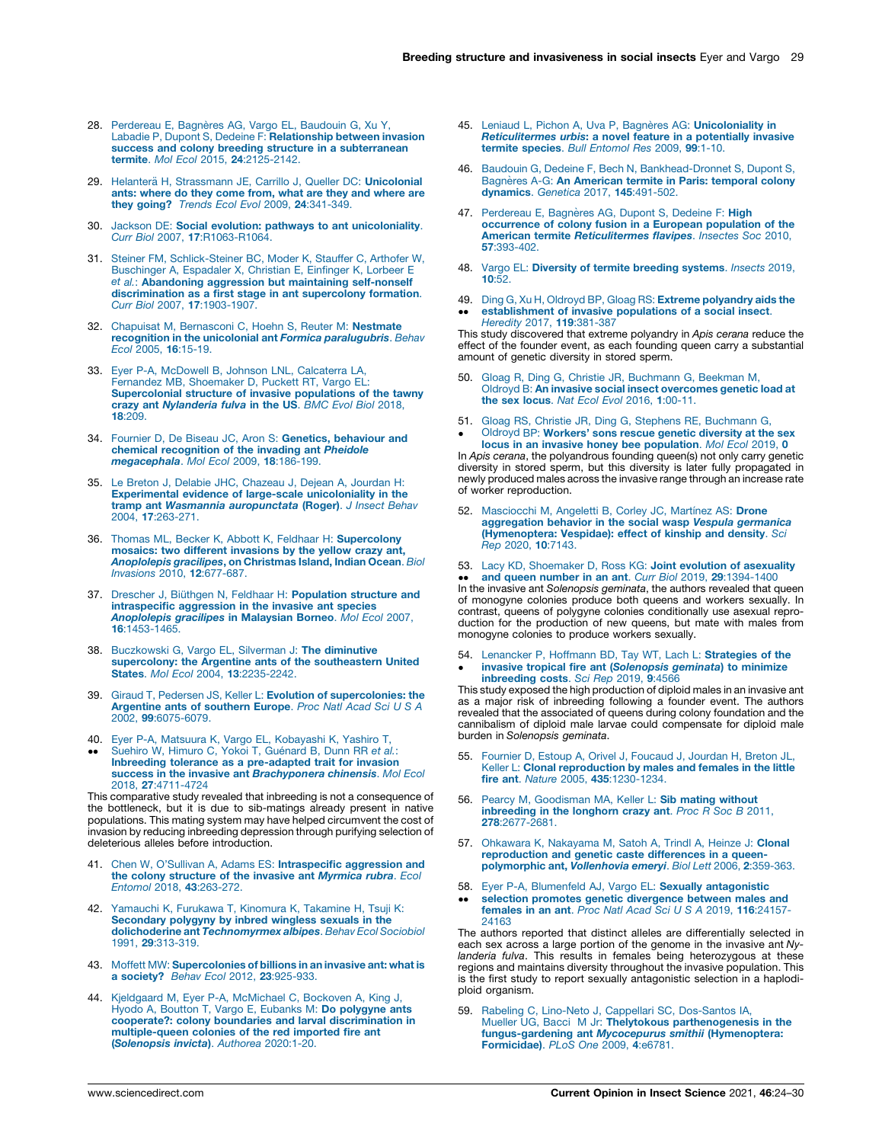- <span id="page-5-0"></span>28. [Perdereau](http://refhub.elsevier.com/S2214-5745(21)00005-5/sbref0140) E, Bagnères AG, Vargo EL, Baudouin G, Xu Y,<br>Labadie P, Dupont S, Dedeine F: **[Relationship](http://refhub.elsevier.com/S2214-5745(21)00005-5/sbref0140) between invasion** success and colony breeding structure in a [subterranean](http://refhub.elsevier.com/S2214-5745(21)00005-5/sbref0140) termite. Mol Ecol 2015, 24[:2125-2142.](http://refhub.elsevier.com/S2214-5745(21)00005-5/sbref0140)
- 29. Helanterä H, [Strassmann](http://refhub.elsevier.com/S2214-5745(21)00005-5/sbref0145) JE, Carrillo J, Queller DC: Unicolonial ants: [where](http://refhub.elsevier.com/S2214-5745(21)00005-5/sbref0145) do they come from, what are they and where are they going? Trends Ecol Evol 2009, 24[:341-349.](http://refhub.elsevier.com/S2214-5745(21)00005-5/sbref0145)
- 30. Jackson DE: Social evolution: pathways to ant [unicoloniality](http://refhub.elsevier.com/S2214-5745(21)00005-5/sbref0150). Curr Biol 2007, 17[:R1063-R1064.](http://refhub.elsevier.com/S2214-5745(21)00005-5/sbref0150)
- 31. Steiner FM, [Schlick-Steiner](http://refhub.elsevier.com/S2214-5745(21)00005-5/sbref0155) BC, Moder K, Stauffer C, Arthofer W, [Buschinger](http://refhub.elsevier.com/S2214-5745(21)00005-5/sbref0155) A, Espadaler X, Christian E, Einfinger K, Lorbeer E et al.: [Abandoning](http://refhub.elsevier.com/S2214-5745(21)00005-5/sbref0155) aggression but maintaining self-nonself [discrimination](http://refhub.elsevier.com/S2214-5745(21)00005-5/sbref0155) as a first stage in ant supercolony formation. Curr Biol 2007, 17[:1903-1907.](http://refhub.elsevier.com/S2214-5745(21)00005-5/sbref0155)
- 32. Chapuisat M, [Bernasconi](http://refhub.elsevier.com/S2214-5745(21)00005-5/sbref0160) C, Hoehn S, Reuter M: Nestmate recognition in the unicolonial ant Formica [paralugubris](http://refhub.elsevier.com/S2214-5745(21)00005-5/sbref0160). Behav Ecol 2005, 16[:15-19.](http://refhub.elsevier.com/S2214-5745(21)00005-5/sbref0160)
- 33. Eyer P-A, McDowell B, Johnson LNL, [Calcaterra](http://refhub.elsevier.com/S2214-5745(21)00005-5/sbref0165) LA, Fernandez MB, [Shoemaker](http://refhub.elsevier.com/S2214-5745(21)00005-5/sbref0165) D, Puckett RT, Vargo EL: [Supercolonial](http://refhub.elsevier.com/S2214-5745(21)00005-5/sbref0165) structure of invasive populations of the tawny crazy ant [Nylanderia](http://refhub.elsevier.com/S2214-5745(21)00005-5/sbref0165) fulva in the US. BMC Evol Biol 2018, 18[:209.](http://refhub.elsevier.com/S2214-5745(21)00005-5/sbref0165)
- 34. Fournier D, De Biseau JC, Aron S: Genetics, [behaviour](http://refhub.elsevier.com/S2214-5745(21)00005-5/sbref0170) and chemical [recognition](http://refhub.elsevier.com/S2214-5745(21)00005-5/sbref0170) of the invading ant Pheidole [megacephala](http://refhub.elsevier.com/S2214-5745(21)00005-5/sbref0170). Mol Ecol 2009, 18:186-199.
- 35. Le Breton J, Delabie JHC, [Chazeau](http://refhub.elsevier.com/S2214-5745(21)00005-5/sbref0175) J, Dejean A, Jourdan H: Experimental evidence of large-scale [unicoloniality](http://refhub.elsevier.com/S2214-5745(21)00005-5/sbref0175) in the tramp ant Wasmannia [auropunctata](http://refhub.elsevier.com/S2214-5745(21)00005-5/sbref0175) (Roger). J Insect Behav 2004, 17[:263-271.](http://refhub.elsevier.com/S2214-5745(21)00005-5/sbref0175)
- 36. Thomas ML, Becker K, Abbott K, Feldhaar H: [Supercolony](http://refhub.elsevier.com/S2214-5745(21)00005-5/sbref0180) mosaics: two different [invasions](http://refhub.elsevier.com/S2214-5745(21)00005-5/sbref0180) by the yellow crazy ant, [Anoplolepis](http://refhub.elsevier.com/S2214-5745(21)00005-5/sbref0180) gracilipes, on Christmas Island, Indian Ocean. Biol Invasions 2010, 12[:677-687.](http://refhub.elsevier.com/S2214-5745(21)00005-5/sbref0180)
- 37. Drescher J. Biüthgen N. Feldhaar H: [Population](http://refhub.elsevier.com/S2214-5745(21)00005-5/sbref0185) structure and [intraspecific](http://refhub.elsevier.com/S2214-5745(21)00005-5/sbref0185) aggression in the invasive ant species [Anoplolepis](http://refhub.elsevier.com/S2214-5745(21)00005-5/sbref0185) gracilipes in Malaysian Borneo. Mol Ecol 2007, 16[:1453-1465.](http://refhub.elsevier.com/S2214-5745(21)00005-5/sbref0185)
- 38. [Buczkowski](http://refhub.elsevier.com/S2214-5745(21)00005-5/sbref0190) G, Vargo EL, Silverman J: The diminutive supercolony: the Argentine ants of the [southeastern](http://refhub.elsevier.com/S2214-5745(21)00005-5/sbref0190) United States. Mol Ecol 2004, 13[:2235-2242.](http://refhub.elsevier.com/S2214-5745(21)00005-5/sbref0190)
- 39. Giraud T, Pedersen JS, Keller L: **Evolution of [supercolonies:](http://refhub.elsevier.com/S2214-5745(21)00005-5/sbref0195) the [Argentine](http://refhub.elsevier.com/S2214-5745(21)00005-5/sbref0195) ants of southern Europe**. Proc Natl Acad Sci U S A 2002, 99[:6075-6079.](http://refhub.elsevier.com/S2214-5745(21)00005-5/sbref0195)
- 40. Eyer P-A, Matsuura K, Vargo EL, [Kobayashi](http://refhub.elsevier.com/S2214-5745(21)00005-5/sbref0200) K, Yashiro T,<br>[Suehiro](http://refhub.elsevier.com/S2214-5745(21)00005-5/sbref0200) W, Himuro C, Yokoi T, Guénard B, Dunn RR e*t al.*:
- $\ddot{\phantom{0}}$ Inbreeding tolerance as a [pre-adapted](http://refhub.elsevier.com/S2214-5745(21)00005-5/sbref0200) trait for invasion success in the invasive ant [Brachyponera](http://refhub.elsevier.com/S2214-5745(21)00005-5/sbref0200) chinensis. Mol Ecol 2018, 27[:4711-4724](http://refhub.elsevier.com/S2214-5745(21)00005-5/sbref0200)

This comparative study revealed that inbreeding is not a consequence of the bottleneck, but it is due to sib-matings already present in native populations. This mating system may have helped circumvent the cost of invasion by reducing inbreeding depression through purifying selection of deleterious alleles before introduction.

- 41. Chen W, O'Sullivan A, Adams ES: [Intraspecific](http://refhub.elsevier.com/S2214-5745(21)00005-5/sbref0205) aggression and the colony [structure](http://refhub.elsevier.com/S2214-5745(21)00005-5/sbref0205) of the invasive ant Myrmica rubra. Ecol Entomol 2018, 43[:263-272.](http://refhub.elsevier.com/S2214-5745(21)00005-5/sbref0205)
- 42. [Yamauchi](http://refhub.elsevier.com/S2214-5745(21)00005-5/sbref0210) K, Furukawa T, Kinomura K, Takamine H, Tsuji K: [Secondary](http://refhub.elsevier.com/S2214-5745(21)00005-5/sbref0210) polygyny by inbred wingless sexuals in the dolichoderine ant [Technomyrmex](http://refhub.elsevier.com/S2214-5745(21)00005-5/sbref0210) albipes. Behav Ecol Sociobiol 1991, 29[:313-319.](http://refhub.elsevier.com/S2214-5745(21)00005-5/sbref0210)
- 43. Moffett MW: [Supercolonies](http://refhub.elsevier.com/S2214-5745(21)00005-5/sbref0215) of billions in an invasive ant: what is<br>a society? Behav Ecol 2012, 23[:925-933.](http://refhub.elsevier.com/S2214-5745(21)00005-5/sbref0215)
- 44. Kjeldgaard M, Eyer P-A, [McMichael](http://refhub.elsevier.com/S2214-5745(21)00005-5/sbref0220) C, Bockoven A, King J, Hyodo A, Boutton T, Vargo E, Eubanks M: Do [polygyne](http://refhub.elsevier.com/S2214-5745(21)00005-5/sbref0220) ants cooperate?: colony boundaries and larval [discrimination](http://refhub.elsevier.com/S2214-5745(21)00005-5/sbref0220) in [multiple-queen](http://refhub.elsevier.com/S2214-5745(21)00005-5/sbref0220) colonies of the red imported fire ant ([Solenopsis](http://refhub.elsevier.com/S2214-5745(21)00005-5/sbref0220) invicta). Authorea 2020:1-20.
- 45. Leniaud L, Pichon A, Uva P, Bagnères AG: [Unicoloniality](http://refhub.elsevier.com/S2214-5745(21)00005-5/sbref0225) in [Reticulitermes](http://refhub.elsevier.com/S2214-5745(21)00005-5/sbref0225) urbis: a novel feature in a potentially invasive termite species. Bull [Entomol](http://refhub.elsevier.com/S2214-5745(21)00005-5/sbref0225) Res 2009, 99:1-10.
- 46. Baudouin G, Dedeine F, Bech N, [Bankhead-Dronnet](http://refhub.elsevier.com/S2214-5745(21)00005-5/sbref0230) S, Dupont S, Bagnères A-G: An [American](http://refhub.elsevier.com/S2214-5745(21)00005-5/sbref0230) termite in Paris: temporal colony<br>[dynamics](http://refhub.elsevier.com/S2214-5745(21)00005-5/sbref0230). Genetica 2017, 145:491-502.
- 47. [Perdereau](http://refhub.elsevier.com/S2214-5745(21)00005-5/sbref0235) E, Bagnères AG, Dupont S, Dedeine F: High [occurrence](http://refhub.elsevier.com/S2214-5745(21)00005-5/sbref0235) of colony fusion in a European population of the American termite [Reticulitermes](http://refhub.elsevier.com/S2214-5745(21)00005-5/sbref0235) flavipes. Insectes Soc 2010, 57[:393-402.](http://refhub.elsevier.com/S2214-5745(21)00005-5/sbref0235)
- 48. Vargo EL: Diversity of termite [breeding](http://refhub.elsevier.com/S2214-5745(21)00005-5/sbref0240) systems. *Insects* 2019,<br>**10:**52.
- 49. Ding G, Xu H, Oldroyd BP, Gloag RS: Extreme [polyandry](http://refhub.elsevier.com/S2214-5745(21)00005-5/sbref0245) aids the [establishment](http://refhub.elsevier.com/S2214-5745(21)00005-5/sbref0245) of invasive populations of a social insect.
- $\ddot{\phantom{0}}$ Heredity 2017, 119[:381-387](http://refhub.elsevier.com/S2214-5745(21)00005-5/sbref0245) This study discovered that extreme polyandry in Apis cerana reduce the

effect of the founder event, as each founding queen carry a substantial amount of genetic diversity in stored sperm.

- 50. Gloag R, Ding G, Christie JR, [Buchmann](http://refhub.elsevier.com/S2214-5745(21)00005-5/sbref0250) G, Beekman M, Oldroyd B: An invasive social insect [overcomes](http://refhub.elsevier.com/S2214-5745(21)00005-5/sbref0250) genetic load at the sex locus. Nat Ecol Evol 2016, 1[:00-11.](http://refhub.elsevier.com/S2214-5745(21)00005-5/sbref0250)
- 51. Gloag RS, Christie JR, Ding G, Stephens RE, [Buchmann](http://refhub.elsevier.com/S2214-5745(21)00005-5/sbref0255) G,  $\cdot$ Oldroyd BP: [Workers'](http://refhub.elsevier.com/S2214-5745(21)00005-5/sbref0255) sons rescue genetic diversity at the sex locus in an invasive honey bee [population](http://refhub.elsevier.com/S2214-5745(21)00005-5/sbref0255). Mol Ecol 2019, 0

In Apis cerana, the polyandrous founding queen(s) not only carry genetic diversity in stored sperm, but this diversity is later fully propagated in newly produced males across the invasive range through an increase rate of worker reproduction.

- 52. [Masciocchi](http://refhub.elsevier.com/S2214-5745(21)00005-5/sbref0260) M, Angeletti B, Corley JC, Martínez AS: Drone<br>[aggregation](http://refhub.elsevier.com/S2214-5745(21)00005-5/sbref0260) behavior in the social wasp Vespula germanica [\(Hymenoptera:](http://refhub.elsevier.com/S2214-5745(21)00005-5/sbref0260) Vespidae): effect of kinship and density. Sci Rep 2020, 10[:7143.](http://refhub.elsevier.com/S2214-5745(21)00005-5/sbref0260)
- 53. Lacy KD, [Shoemaker](http://refhub.elsevier.com/S2214-5745(21)00005-5/sbref0265) D, Ross KG: Joint evolution of asexuality

**In the invasive ant Solenopsis geminata, the authors revealed that queen**<br>In the invasive ant Solenopsis geminata, the authors revealed that queen and queen number in an ant. Curr Biol 2019, 29[:1394-1400](http://refhub.elsevier.com/S2214-5745(21)00005-5/sbref0265) of monogyne colonies produce both queens and workers sexually. In contrast, queens of polygyne colonies conditionally use asexual reproduction for the production of new queens, but mate with males from monogyne colonies to produce workers sexually.

54.  $\cdot$ Lenancker P, Hoffmann BD, Tay WT, Lach L: [Strategies](http://refhub.elsevier.com/S2214-5745(21)00005-5/sbref0270) of the invasive tropical fire ant ([Solenopsis](http://refhub.elsevier.com/S2214-5745(21)00005-5/sbref0270) geminata) to minimize [inbreeding](http://refhub.elsevier.com/S2214-5745(21)00005-5/sbref0270) costs. Sci Rep 2019, 9:4566

This study exposed the high production of diploid males in an invasive ant as a major risk of inbreeding following a founder event. The authors revealed that the associated of queens during colony foundation and the cannibalism of diploid male larvae could compensate for diploid male burden in Solenopsis geminata.

- 55. Fournier D, Estoup A, Orivel J, [Foucaud](http://refhub.elsevier.com/S2214-5745(21)00005-5/sbref0275) J, Jourdan H, Breton JL, Keller L: Clonal [reproduction](http://refhub.elsevier.com/S2214-5745(21)00005-5/sbref0275) by males and females in the little fire ant. Nature 2005, 435[:1230-1234.](http://refhub.elsevier.com/S2214-5745(21)00005-5/sbref0275)
- 56. Pearcy M, [Goodisman](http://refhub.elsevier.com/S2214-5745(21)00005-5/sbref0280) MA, Keller L: Sib mating without [inbreeding](http://refhub.elsevier.com/S2214-5745(21)00005-5/sbref0280) in the longhorn crazy ant. Proc R Soc B 2011, 278[:2677-2681.](http://refhub.elsevier.com/S2214-5745(21)00005-5/sbref0280)
- 57. Ohkawara K, [Nakayama](http://refhub.elsevier.com/S2214-5745(21)00005-5/sbref0285) M, Satoh A, Trindl A, Heinze J: Clonal [reproduction](http://refhub.elsevier.com/S2214-5745(21)00005-5/sbref0285) and genetic caste differences in a queen[polymorphic](http://refhub.elsevier.com/S2214-5745(21)00005-5/sbref0285) ant, Vollenhovia emeryi. Biol Lett 2006, 2:359-363.
- 58. Eyer P-A, Blumenfeld AJ, Vargo EL: Sexually [antagonistic](http://refhub.elsevier.com/S2214-5745(21)00005-5/sbref0290)
- $\ddot{\phantom{0}}$ selection promotes genetic [divergence](http://refhub.elsevier.com/S2214-5745(21)00005-5/sbref0290) between males and [females](http://refhub.elsevier.com/S2214-5745(21)00005-5/sbref0290) in an ant. Proc Natl Acad Sci U S A 2019, 116:24157- [24163](http://refhub.elsevier.com/S2214-5745(21)00005-5/sbref0290)

The authors reported that distinct alleles are differentially selected in each sex across a large portion of the genome in the invasive ant Nylanderia fulva. This results in females being heterozygous at these regions and maintains diversity throughout the invasive population. This is the first study to report sexually antagonistic selection in a haplodiploid organism.

59. Rabeling C, Lino-Neto J, Cappellari SC, [Dos-Santos](http://refhub.elsevier.com/S2214-5745(21)00005-5/sbref0295) IA,<br>Mueller UG, Bacci M Jr: Thelytokous [parthenogenesis](http://refhub.elsevier.com/S2214-5745(21)00005-5/sbref0295) in the<br>[fungus-gardening](http://refhub.elsevier.com/S2214-5745(21)00005-5/sbref0295) ant Mycocepurus smithii (Hymenoptera: [Formicidae\)](http://refhub.elsevier.com/S2214-5745(21)00005-5/sbref0295). PLoS One 2009, 4:e6781.